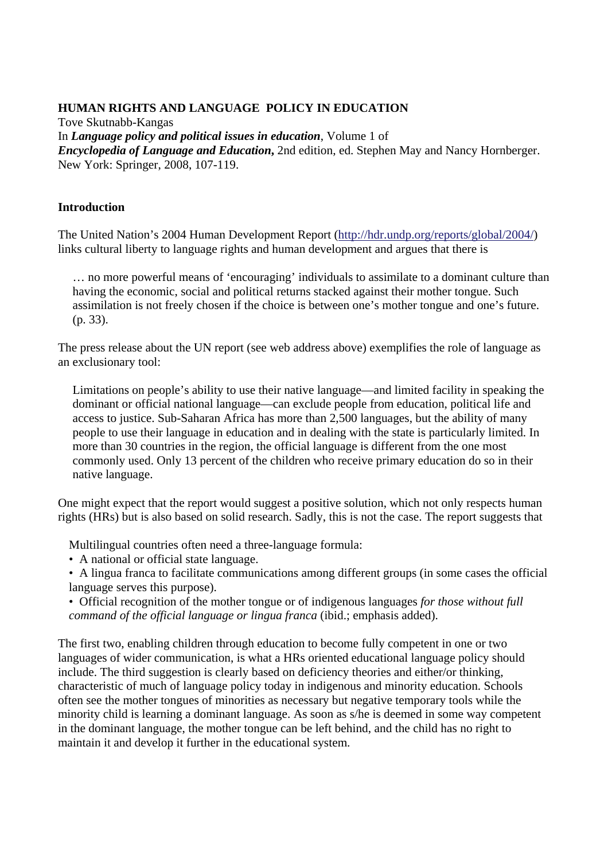# **HUMAN RIGHTS AND LANGUAGE POLICY IN EDUCATION**

Tove Skutnabb-Kangas In *Language policy and political issues in education*, Volume 1 of *Encyclopedia of Language and Education***,** 2nd edition, ed. Stephen May and Nancy Hornberger. New York: Springer, 2008, 107-119.

# **Introduction**

The United Nation's 2004 Human Development Report [\(http://hdr.undp.org/reports/global/2004/](http://hdr.undp.org/reports/global/2004/)) links cultural liberty to language rights and human development and argues that there is

… no more powerful means of 'encouraging' individuals to assimilate to a dominant culture than having the economic, social and political returns stacked against their mother tongue. Such assimilation is not freely chosen if the choice is between one's mother tongue and one's future. (p. 33).

The press release about the UN report (see web address above) exemplifies the role of language as an exclusionary tool:

Limitations on people's ability to use their native language—and limited facility in speaking the dominant or official national language—can exclude people from education, political life and access to justice. Sub-Saharan Africa has more than 2,500 languages, but the ability of many people to use their language in education and in dealing with the state is particularly limited. In more than 30 countries in the region, the official language is different from the one most commonly used. Only 13 percent of the children who receive primary education do so in their native language.

One might expect that the report would suggest a positive solution, which not only respects human rights (HRs) but is also based on solid research. Sadly, this is not the case. The report suggests that

Multilingual countries often need a three-language formula:

- A national or official state language.
- A lingua franca to facilitate communications among different groups (in some cases the official language serves this purpose).
- Official recognition of the mother tongue or of indigenous languages *for those without full command of the official language or lingua franca* (ibid.; emphasis added).

The first two, enabling children through education to become fully competent in one or two languages of wider communication, is what a HRs oriented educational language policy should include. The third suggestion is clearly based on deficiency theories and either/or thinking, characteristic of much of language policy today in indigenous and minority education. Schools often see the mother tongues of minorities as necessary but negative temporary tools while the minority child is learning a dominant language. As soon as s/he is deemed in some way competent in the dominant language, the mother tongue can be left behind, and the child has no right to maintain it and develop it further in the educational system.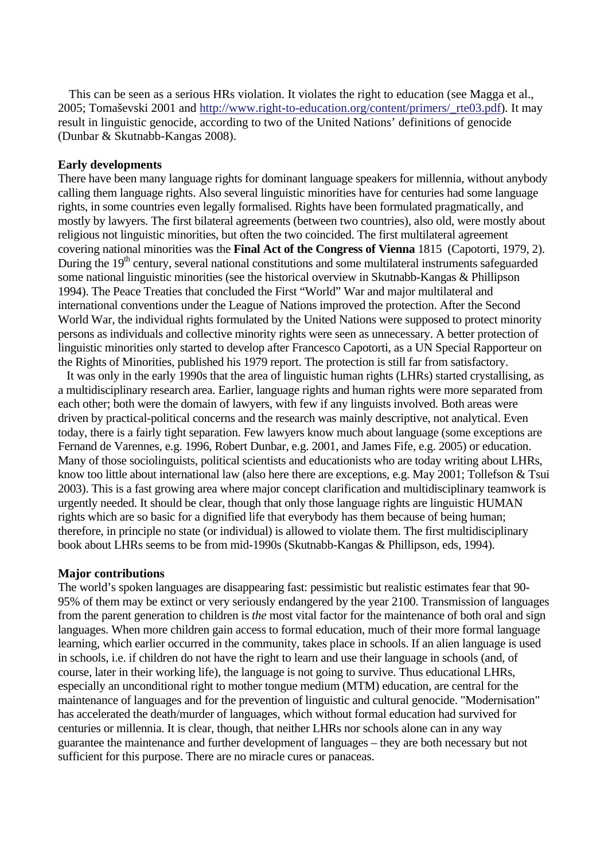This can be seen as a serious HRs violation. It violates the right to education (see Magga et al., 2005; Tomaševski 2001 and [http://www.right-to-education.org/content/primers/\\_rte03.pdf](http://www.right-to-education.org/)). It may result in linguistic genocide, according to two of the United Nations' definitions of genocide (Dunbar & Skutnabb-Kangas 2008).

### **Early developments**

There have been many language rights for dominant language speakers for millennia, without anybody calling them language rights. Also several linguistic minorities have for centuries had some language rights, in some countries even legally formalised. Rights have been formulated pragmatically, and mostly by lawyers. The first bilateral agreements (between two countries), also old, were mostly about religious not linguistic minorities, but often the two coincided. The first multilateral agreement covering national minorities was the **Final Act of the Congress of Vienna** 1815 (Capotorti, 1979, 2). During the  $19<sup>th</sup>$  century, several national constitutions and some multilateral instruments safeguarded some national linguistic minorities (see the historical overview in Skutnabb-Kangas & Phillipson 1994). The Peace Treaties that concluded the First "World" War and major multilateral and international conventions under the League of Nations improved the protection. After the Second World War, the individual rights formulated by the United Nations were supposed to protect minority persons as individuals and collective minority rights were seen as unnecessary. A better protection of linguistic minorities only started to develop after Francesco Capotorti, as a UN Special Rapporteur on the Rights of Minorities, published his 1979 report. The protection is still far from satisfactory.

 It was only in the early 1990s that the area of linguistic human rights (LHRs) started crystallising, as a multidisciplinary research area. Earlier, language rights and human rights were more separated from each other; both were the domain of lawyers, with few if any linguists involved. Both areas were driven by practical-political concerns and the research was mainly descriptive, not analytical. Even today, there is a fairly tight separation. Few lawyers know much about language (some exceptions are Fernand de Varennes, e.g. 1996, Robert Dunbar, e.g. 2001, and James Fife, e.g. 2005) or education. Many of those sociolinguists, political scientists and educationists who are today writing about LHRs, know too little about international law (also here there are exceptions, e.g. May 2001; Tollefson & Tsui 2003). This is a fast growing area where major concept clarification and multidisciplinary teamwork is urgently needed. It should be clear, though that only those language rights are linguistic HUMAN rights which are so basic for a dignified life that everybody has them because of being human; therefore, in principle no state (or individual) is allowed to violate them. The first multidisciplinary book about LHRs seems to be from mid-1990s (Skutnabb-Kangas & Phillipson, eds, 1994).

#### **Major contributions**

The world's spoken languages are disappearing fast: pessimistic but realistic estimates fear that 90- 95% of them may be extinct or very seriously endangered by the year 2100. Transmission of languages from the parent generation to children is *the* most vital factor for the maintenance of both oral and sign languages. When more children gain access to formal education, much of their more formal language learning, which earlier occurred in the community, takes place in schools. If an alien language is used in schools, i.e. if children do not have the right to learn and use their language in schools (and, of course, later in their working life), the language is not going to survive. Thus educational LHRs, especially an unconditional right to mother tongue medium (MTM) education, are central for the maintenance of languages and for the prevention of linguistic and cultural genocide. "Modernisation" has accelerated the death/murder of languages, which without formal education had survived for centuries or millennia. It is clear, though, that neither LHRs nor schools alone can in any way guarantee the maintenance and further development of languages – they are both necessary but not sufficient for this purpose. There are no miracle cures or panaceas.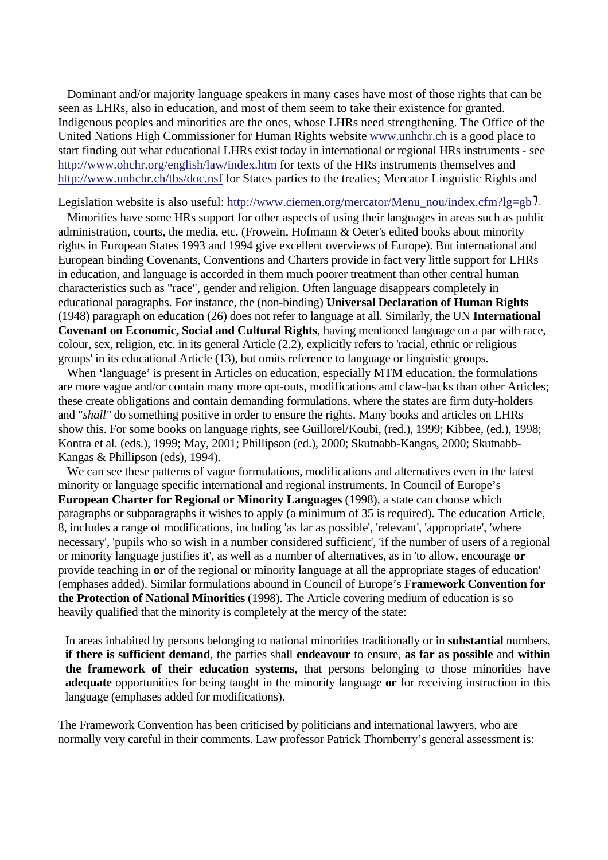Dominant and/or majority language speakers in many cases have most of those rights that can be seen as LHRs, also in education, and most of them seem to take their existence for granted. Indigenous peoples and minorities are the ones, whose LHRs need strengthening. The Office of the United Nations High Commissioner for Human Rights website [www.unhchr.ch](http://www.unhchr.ch/) is a good place to start finding out what educational LHRs exist today in international or regional HRs instruments - see <http://www.ohchr.org/english/law/index.htm>for texts of the HRs instruments themselves and <http://www.unhchr.ch/tbs/doc.nsf>for States parties to the treaties; Mercator Linguistic Rights and

### Legislation website is also useful: [http://www.ciemen.org/mercator/Menu\\_nou/index.cfm?lg=gb](http://www.ciemen.org/mercator/Menu_nou/index.cfm?lg=gb)).

Minorities have some HRs support for other aspects of using their languages in areas such as public administration, courts, the media, etc. (Frowein, Hofmann & Oeter's edited books about minority rights in European States 1993 and 1994 give excellent overviews of Europe). But international and European binding Covenants, Conventions and Charters provide in fact very little support for LHRs in education, and language is accorded in them much poorer treatment than other central human characteristics such as "race", gender and religion. Often language disappears completely in educational paragraphs. For instance, the (non-binding) **Universal Declaration of Human Rights** (1948) paragraph on education (26) does not refer to language at all. Similarly, the UN **International Covenant on Economic, Social and Cultural Rights**, having mentioned language on a par with race, colour, sex, religion, etc. in its general Article (2.2), explicitly refers to 'racial, ethnic or religious groups' in its educational Article (13), but omits reference to language or linguistic groups.

When 'language' is present in Articles on education, especially MTM education, the formulations are more vague and/or contain many more opt-outs, modifications and claw-backs than other Articles; these create obligations and contain demanding formulations, where the states are firm duty-holders and "*shall"* do something positive in order to ensure the rights. Many books and articles on LHRs show this. For some books on language rights, see Guillorel/Koubi, (red.), 1999; Kibbee, (ed.), 1998; Kontra et al. (eds.), 1999; May, 2001; Phillipson (ed.), 2000; Skutnabb-Kangas, 2000; Skutnabb-Kangas & Phillipson (eds), 1994).

We can see these patterns of vague formulations, modifications and alternatives even in the latest minority or language specific international and regional instruments. In Council of Europe's **European Charter for Regional or Minority Languages** (1998), a state can choose which paragraphs or subparagraphs it wishes to apply (a minimum of 35 is required). The education Article, 8, includes a range of modifications, including 'as far as possible', 'relevant', 'appropriate', 'where necessary', 'pupils who so wish in a number considered sufficient', 'if the number of users of a regional or minority language justifies it', as well as a number of alternatives, as in 'to allow, encourage **or** provide teaching in **or** of the regional or minority language at all the appropriate stages of education' (emphases added). Similar formulations abound in Council of Europe's **Framework Convention for the Protection of National Minorities** (1998). The Article covering medium of education is so heavily qualified that the minority is completely at the mercy of the state:

In areas inhabited by persons belonging to national minorities traditionally or in **substantial** numbers, **if there is sufficient demand**, the parties shall **endeavour** to ensure, **as far as possible** and **within the framework of their education systems**, that persons belonging to those minorities have **adequate** opportunities for being taught in the minority language **or** for receiving instruction in this language (emphases added for modifications).

The Framework Convention has been criticised by politicians and international lawyers, who are normally very careful in their comments. Law professor Patrick Thornberry's general assessment is: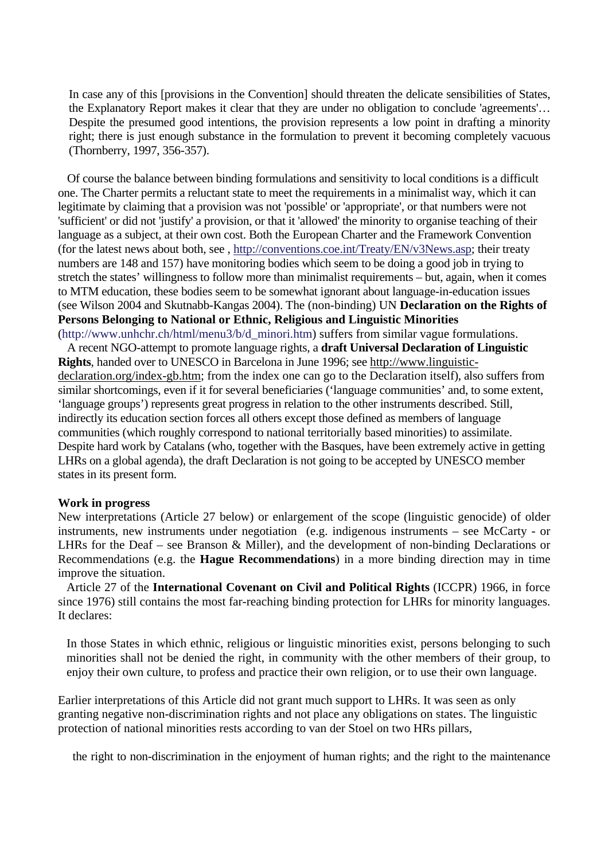In case any of this [provisions in the Convention] should threaten the delicate sensibilities of States, the Explanatory Report makes it clear that they are under no obligation to conclude 'agreements'… Despite the presumed good intentions, the provision represents a low point in drafting a minority right; there is just enough substance in the formulation to prevent it becoming completely vacuous (Thornberry, 1997, 356-357).

Of course the balance between binding formulations and sensitivity to local conditions is a difficult one. The Charter permits a reluctant state to meet the requirements in a minimalist way, which it can legitimate by claiming that a provision was not 'possible' or 'appropriate', or that numbers were not 'sufficient' or did not 'justify' a provision, or that it 'allowed' the minority to organise teaching of their language as a subject, at their own cost. Both the European Charter and the Framework Convention (for the latest news about both, see ,<http://conventions.coe.int/Treaty/EN/v3News.asp>; their treaty numbers are 148 and 157) have monitoring bodies which seem to be doing a good job in trying to stretch the states' willingness to follow more than minimalist requirements – but, again, when it comes to MTM education, these bodies seem to be somewhat ignorant about language-in-education issues (see Wilson 2004 and Skutnabb-Kangas 2004). The (non-binding) UN **Declaration on the Rights of Persons Belonging to National or Ethnic, Religious and Linguistic Minorities** ([http://www.unhchr.ch/html/menu3/b/d\\_minori.htm\)](http://www.unhchr.ch/html/menu3/b/d_minori.htm) suffers from similar vague formulations.

A recent NGO-attempt to promote language rights, a **draft Universal Declaration of Linguistic Rights**, handed over to UNESCO in Barcelona in June 1996; see [http://www.linguistic](http://www.linguistic-declaration.org/index-gb.htm)[declaration.org/index-gb.htm;](http://www.linguistic-declaration.org/index-gb.htm) from the index one can go to the Declaration itself), also suffers from similar shortcomings, even if it for several beneficiaries ('language communities' and, to some extent, 'language groups') represents great progress in relation to the other instruments described. Still, indirectly its education section forces all others except those defined as members of language communities (which roughly correspond to national territorially based minorities) to assimilate. Despite hard work by Catalans (who, together with the Basques, have been extremely active in getting LHRs on a global agenda), the draft Declaration is not going to be accepted by UNESCO member states in its present form.

#### **Work in progress**

New interpretations (Article 27 below) or enlargement of the scope (linguistic genocide) of older instruments, new instruments under negotiation (e.g. indigenous instruments – see McCarty - or LHRs for the Deaf – see Branson & Miller), and the development of non-binding Declarations or Recommendations (e.g. the **Hague Recommendations**) in a more binding direction may in time improve the situation.

 Article 27 of the **International Covenant on Civil and Political Rights** (ICCPR) 1966, in force since 1976) still contains the most far-reaching binding protection for LHRs for minority languages. It declares:

 In those States in which ethnic, religious or linguistic minorities exist, persons belonging to such minorities shall not be denied the right, in community with the other members of their group, to enjoy their own culture, to profess and practice their own religion, or to use their own language.

Earlier interpretations of this Article did not grant much support to LHRs. It was seen as only granting negative non-discrimination rights and not place any obligations on states. The linguistic protection of national minorities rests according to van der Stoel on two HRs pillars,

the right to non-discrimination in the enjoyment of human rights; and the right to the maintenance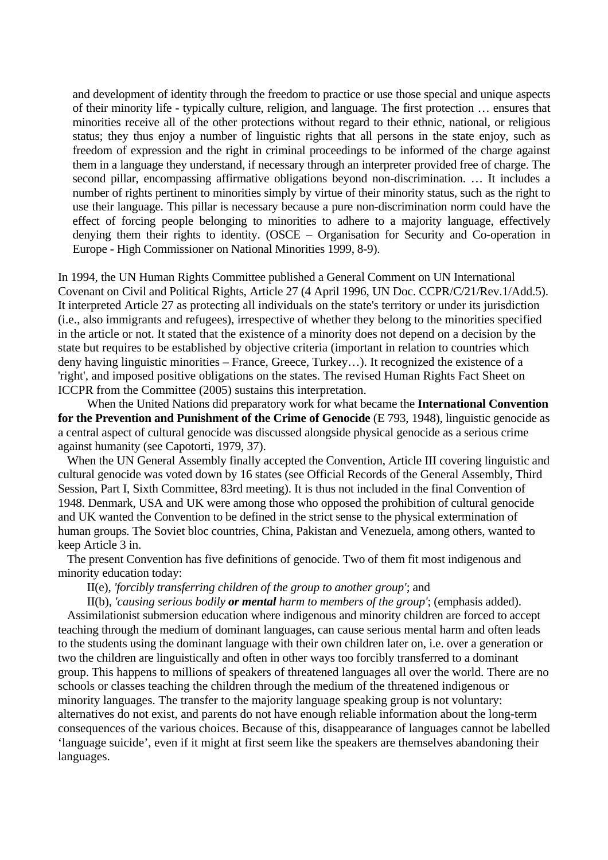and development of identity through the freedom to practice or use those special and unique aspects of their minority life - typically culture, religion, and language. The first protection … ensures that minorities receive all of the other protections without regard to their ethnic, national, or religious status; they thus enjoy a number of linguistic rights that all persons in the state enjoy, such as freedom of expression and the right in criminal proceedings to be informed of the charge against them in a language they understand, if necessary through an interpreter provided free of charge. The second pillar, encompassing affirmative obligations beyond non-discrimination. … It includes a number of rights pertinent to minorities simply by virtue of their minority status, such as the right to use their language. This pillar is necessary because a pure non-discrimination norm could have the effect of forcing people belonging to minorities to adhere to a majority language, effectively denying them their rights to identity. (OSCE – Organisation for Security and Co-operation in Europe - High Commissioner on National Minorities 1999, 8-9).

In 1994, the UN Human Rights Committee published a General Comment on UN International Covenant on Civil and Political Rights, Article 27 (4 April 1996, UN Doc. CCPR/C/21/Rev.1/Add.5). It interpreted Article 27 as protecting all individuals on the state's territory or under its jurisdiction (i.e., also immigrants and refugees), irrespective of whether they belong to the minorities specified in the article or not. It stated that the existence of a minority does not depend on a decision by the state but requires to be established by objective criteria (important in relation to countries which deny having linguistic minorities – France, Greece, Turkey…). It recognized the existence of a 'right', and imposed positive obligations on the states. The revised Human Rights Fact Sheet on ICCPR from the Committee (2005) sustains this interpretation.

When the United Nations did preparatory work for what became the **International Convention for the Prevention and Punishment of the Crime of Genocide** (E 793, 1948), linguistic genocide as a central aspect of cultural genocide was discussed alongside physical genocide as a serious crime against humanity (see Capotorti, 1979, 37).

When the UN General Assembly finally accepted the Convention, Article III covering linguistic and cultural genocide was voted down by 16 states (see Official Records of the General Assembly, Third Session, Part I, Sixth Committee, 83rd meeting). It is thus not included in the final Convention of 1948. Denmark, USA and UK were among those who opposed the prohibition of cultural genocide and UK wanted the Convention to be defined in the strict sense to the physical extermination of human groups. The Soviet bloc countries, China, Pakistan and Venezuela, among others, wanted to keep Article 3 in.

The present Convention has five definitions of genocide. Two of them fit most indigenous and minority education today:

II(e), *'forcibly transferring children of the group to another group'*; and

II(b), *'causing serious bodily or mental harm to members of the group'*; (emphasis added). Assimilationist submersion education where indigenous and minority children are forced to accept teaching through the medium of dominant languages, can cause serious mental harm and often leads to the students using the dominant language with their own children later on, i.e. over a generation or two the children are linguistically and often in other ways too forcibly transferred to a dominant group. This happens to millions of speakers of threatened languages all over the world. There are no schools or classes teaching the children through the medium of the threatened indigenous or minority languages. The transfer to the majority language speaking group is not voluntary: alternatives do not exist, and parents do not have enough reliable information about the long-term consequences of the various choices. Because of this, disappearance of languages cannot be labelled 'language suicide', even if it might at first seem like the speakers are themselves abandoning their languages.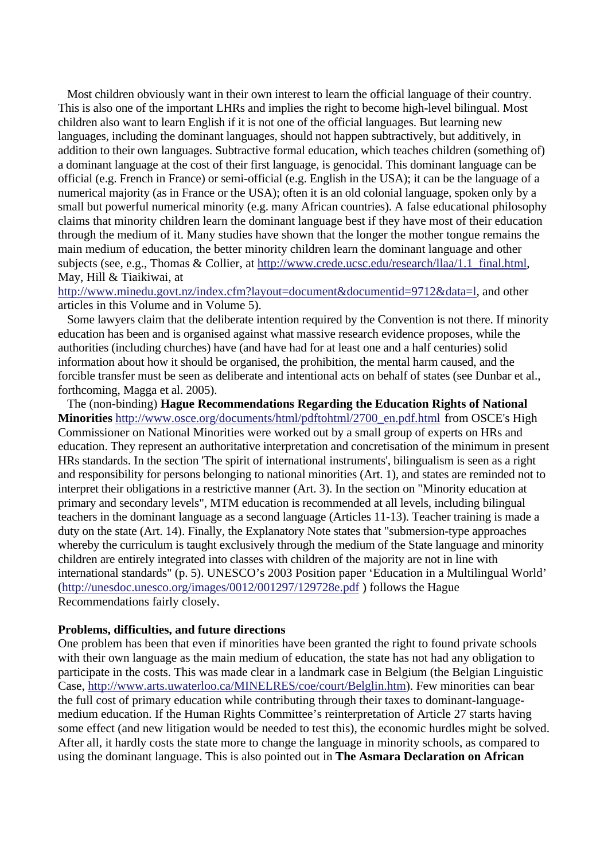Most children obviously want in their own interest to learn the official language of their country. This is also one of the important LHRs and implies the right to become high-level bilingual. Most children also want to learn English if it is not one of the official languages. But learning new languages, including the dominant languages, should not happen subtractively, but additively, in addition to their own languages. Subtractive formal education, which teaches children (something of) a dominant language at the cost of their first language, is genocidal. This dominant language can be official (e.g. French in France) or semi-official (e.g. English in the USA); it can be the language of a numerical majority (as in France or the USA); often it is an old colonial language, spoken only by a small but powerful numerical minority (e.g. many African countries). A false educational philosophy claims that minority children learn the dominant language best if they have most of their education through the medium of it. Many studies have shown that the longer the mother tongue remains the main medium of education, the better minority children learn the dominant language and other subjects (see, e.g., Thomas & Collier, at http://www.crede.ucsc.edu/research/llaa/1.1 final.html, May, Hill & Tiaikiwai, at

<http://www.minedu.govt.nz/index.cfm?layout=document&documentid=9712&data=l>, and other articles in this Volume and in Volume 5).

Some lawyers claim that the deliberate intention required by the Convention is not there. If minority education has been and is organised against what massive research evidence proposes, while the authorities (including churches) have (and have had for at least one and a half centuries) solid information about how it should be organised, the prohibition, the mental harm caused, and the forcible transfer must be seen as deliberate and intentional acts on behalf of states (see Dunbar et al., forthcoming, Magga et al. 2005).

The (non-binding) **Hague Recommendations Regarding the Education Rights of National Minorities** [http://www.osce.org/documents/html/pdftohtml/2700\\_en.pdf.html](http://www.osce.org/documents/html/pdftohtml/2700_en.pdf.html) from OSCE's High Commissioner on National Minorities were worked out by a small group of experts on HRs and education. They represent an authoritative interpretation and concretisation of the minimum in present HRs standards. In the section 'The spirit of international instruments', bilingualism is seen as a right and responsibility for persons belonging to national minorities (Art. 1), and states are reminded not to interpret their obligations in a restrictive manner (Art. 3). In the section on "Minority education at primary and secondary levels", MTM education is recommended at all levels, including bilingual teachers in the dominant language as a second language (Articles 11-13). Teacher training is made a duty on the state (Art. 14). Finally, the Explanatory Note states that "submersion-type approaches whereby the curriculum is taught exclusively through the medium of the State language and minority children are entirely integrated into classes with children of the majority are not in line with international standards" (p. 5). UNESCO's 2003 Position paper 'Education in a Multilingual World' (<http://unesdoc.unesco.org/images/0012/001297/129728e.pdf> ) follows the Hague Recommendations fairly closely.

#### **Problems, difficulties, and future directions**

One problem has been that even if minorities have been granted the right to found private schools with their own language as the main medium of education, the state has not had any obligation to participate in the costs. This was made clear in a landmark case in Belgium (the Belgian Linguistic Case,<http://www.arts.uwaterloo.ca/MINELRES/coe/court/Belglin.htm>). Few minorities can bear the full cost of primary education while contributing through their taxes to dominant-languagemedium education. If the Human Rights Committee's reinterpretation of Article 27 starts having some effect (and new litigation would be needed to test this), the economic hurdles might be solved. After all, it hardly costs the state more to change the language in minority schools, as compared to using the dominant language. This is also pointed out in **The Asmara Declaration on African**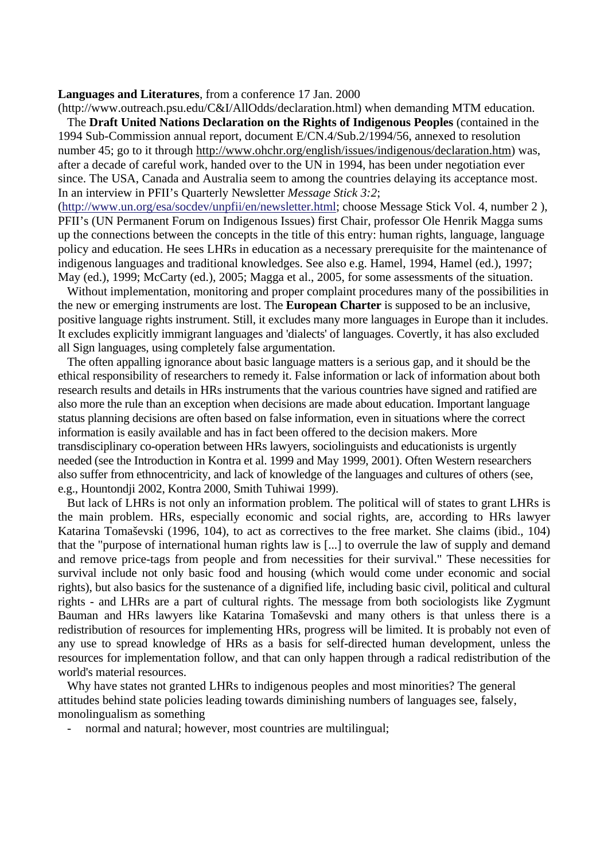#### **Languages and Literatures**, from a conference 17 Jan. 2000

([http://www.outreach.psu.edu/C&I/AllOdds/declaration.html\)](http://www.outreach.psu.edu/C&I/AllOdds/declaration.html) when demanding MTM education. The **Draft United Nations Declaration on the Rights of Indigenous Peoples** (contained in the 1994 Sub-Commission annual report, document E/CN.4/Sub.2/1994/56, annexed to resolution number 45; go to it through <http://www.ohchr.org/english/issues/indigenous/declaration.htm>) was, after a decade of careful work, handed over to the UN in 1994, has been under negotiation ever since. The USA, Canada and Australia seem to among the countries delaying its acceptance most. In an interview in PFII's Quarterly Newsletter *Message Stick 3:2*;

([http://www.un.org/esa/socdev/unpfii/en/newsletter.html;](http://www.un.org/esa/socdev/unpfii/en/newsletter.html) choose Message Stick Vol. 4, number 2 ), PFII's (UN Permanent Forum on Indigenous Issues) first Chair, professor Ole Henrik Magga sums up the connections between the concepts in the title of this entry: human rights, language, language policy and education. He sees LHRs in education as a necessary prerequisite for the maintenance of indigenous languages and traditional knowledges. See also e.g. Hamel, 1994, Hamel (ed.), 1997; May (ed.), 1999; McCarty (ed.), 2005; Magga et al., 2005, for some assessments of the situation.

Without implementation, monitoring and proper complaint procedures many of the possibilities in the new or emerging instruments are lost. The **European Charter** is supposed to be an inclusive, positive language rights instrument. Still, it excludes many more languages in Europe than it includes. It excludes explicitly immigrant languages and 'dialects' of languages. Covertly, it has also excluded all Sign languages, using completely false argumentation.

The often appalling ignorance about basic language matters is a serious gap, and it should be the ethical responsibility of researchers to remedy it. False information or lack of information about both research results and details in HRs instruments that the various countries have signed and ratified are also more the rule than an exception when decisions are made about education. Important language status planning decisions are often based on false information, even in situations where the correct information is easily available and has in fact been offered to the decision makers. More transdisciplinary co-operation between HRs lawyers, sociolinguists and educationists is urgently needed (see the Introduction in Kontra et al. 1999 and May 1999, 2001). Often Western researchers also suffer from ethnocentricity, and lack of knowledge of the languages and cultures of others (see, e.g., Hountondji 2002, Kontra 2000, Smith Tuhiwai 1999).

But lack of LHRs is not only an information problem. The political will of states to grant LHRs is the main problem. HRs, especially economic and social rights, are, according to HRs lawyer Katarina Tomaševski (1996, 104), to act as correctives to the free market. She claims (ibid., 104) that the "purpose of international human rights law is [...] to overrule the law of supply and demand and remove price-tags from people and from necessities for their survival." These necessities for survival include not only basic food and housing (which would come under economic and social rights), but also basics for the sustenance of a dignified life, including basic civil, political and cultural rights - and LHRs are a part of cultural rights. The message from both sociologists like Zygmunt Bauman and HRs lawyers like Katarina Tomaševski and many others is that unless there is a redistribution of resources for implementing HRs, progress will be limited. It is probably not even of any use to spread knowledge of HRs as a basis for self-directed human development, unless the resources for implementation follow, and that can only happen through a radical redistribution of the world's material resources.

Why have states not granted LHRs to indigenous peoples and most minorities? The general attitudes behind state policies leading towards diminishing numbers of languages see, falsely, monolingualism as something

normal and natural; however, most countries are multilingual;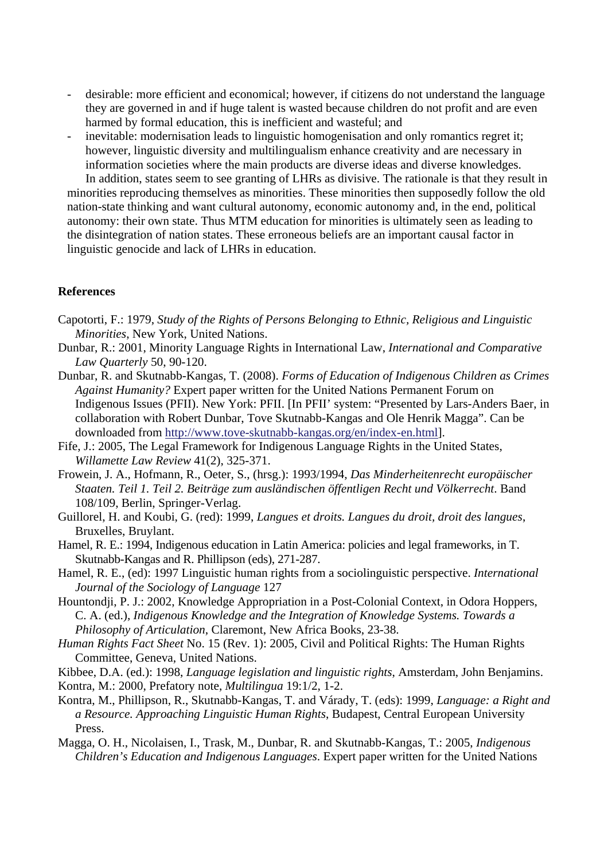- desirable: more efficient and economical; however, if citizens do not understand the language they are governed in and if huge talent is wasted because children do not profit and are even harmed by formal education, this is inefficient and wasteful; and
- inevitable: modernisation leads to linguistic homogenisation and only romantics regret it; however, linguistic diversity and multilingualism enhance creativity and are necessary in information societies where the main products are diverse ideas and diverse knowledges. In addition, states seem to see granting of LHRs as divisive. The rationale is that they result in

minorities reproducing themselves as minorities. These minorities then supposedly follow the old nation-state thinking and want cultural autonomy, economic autonomy and, in the end, political autonomy: their own state. Thus MTM education for minorities is ultimately seen as leading to the disintegration of nation states. These erroneous beliefs are an important causal factor in linguistic genocide and lack of LHRs in education.

## **References**

- Capotorti, F.: 1979, *Study of the Rights of Persons Belonging to Ethnic, Religious and Linguistic Minorities*, New York, United Nations.
- Dunbar, R.: 2001, Minority Language Rights in International Law, *International and Comparative Law Quarterly* 50, 90-120.
- Dunbar, R. and Skutnabb-Kangas, T. (2008). *Forms of Education of Indigenous Children as Crimes Against Humanity?* Expert paper written for the United Nations Permanent Forum on Indigenous Issues (PFII). New York: PFII. [In PFII' system: "Presented by Lars-Anders Baer, in collaboration with Robert Dunbar, Tove Skutnabb-Kangas and Ole Henrik Magga". Can be downloaded from [http://www.tove-skutnabb-kangas.org/en/index-en.html\]](http://www.tove-skutnabb-kangas.org/en/index-en.html).
- Fife, J.: 2005, The Legal Framework for Indigenous Language Rights in the United States, *Willamette Law Review* 41(2), 325-371.
- Frowein, J. A., Hofmann, R., Oeter, S., (hrsg.): 1993/1994, *Das Minderheitenrecht europäischer Staaten. Teil 1. Teil 2. Beiträge zum ausländischen öffentligen Recht und Völkerrecht*. Band 108/109, Berlin, Springer-Verlag.
- Guillorel, H. and Koubi, G. (red): 1999, *Langues et droits. Langues du droit, droit des langues*, Bruxelles, Bruylant.
- Hamel, R. E.: 1994, Indigenous education in Latin America: policies and legal frameworks, in T. Skutnabb-Kangas and R. Phillipson (eds), 271-287.
- Hamel, R. E., (ed): 1997 Linguistic human rights from a sociolinguistic perspective. *International Journal of the Sociology of Language* 127
- Hountondji, P. J.: 2002, Knowledge Appropriation in a Post-Colonial Context, in Odora Hoppers, C. A. (ed.), *Indigenous Knowledge and the Integration of Knowledge Systems. Towards a Philosophy of Articulation*, Claremont, New Africa Books, 23-38.
- *Human Rights Fact Sheet* No. 15 (Rev. 1): 2005, Civil and Political Rights: The Human Rights Committee, Geneva, United Nations.
- Kibbee, D.A. (ed.): 1998, *Language legislation and linguistic rights*, Amsterdam, John Benjamins.
- Kontra, M.: 2000, Prefatory note, *Multilingua* 19:1/2, 1-2.
- Kontra, M., Phillipson, R., Skutnabb-Kangas, T. and Várady, T. (eds): 1999, *Language: a Right and a Resource. Approaching Linguistic Human Rights*, Budapest, Central European University Press.
- Magga, O. H., Nicolaisen, I., Trask, M., Dunbar, R. and Skutnabb-Kangas, T.: 2005, *Indigenous Children's Education and Indigenous Languages*. Expert paper written for the United Nations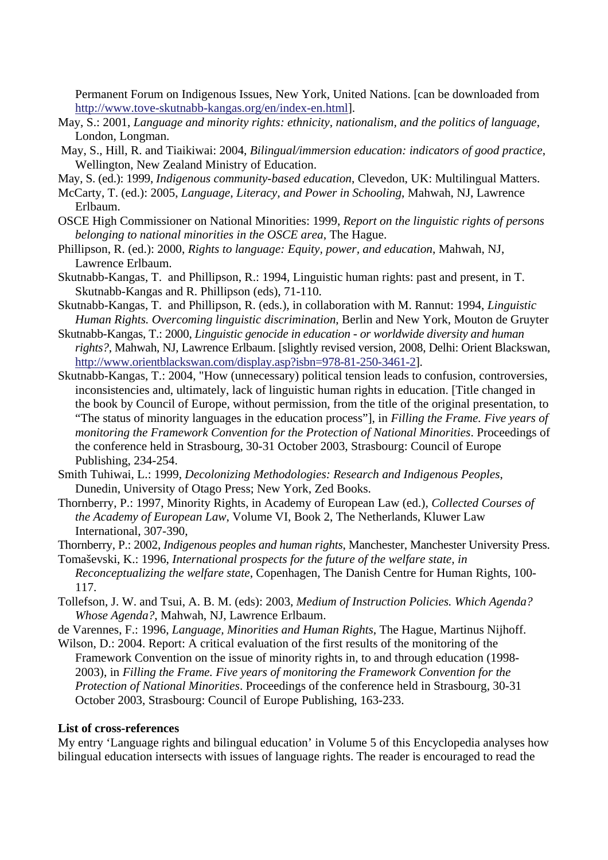Permanent Forum on Indigenous Issues, New York, United Nations. [can be downloaded from [http://www.tove-skutnabb-kangas.org/en/index-en.html\]](http://www.tove-skutnabb-kangas.org/en/index-en.html).

- May, S.: 2001, *Language and minority rights: ethnicity, nationalism, and the politics of language*, London, Longman.
- May, S., Hill, R. and Tiaikiwai: 2004, *Bilingual/immersion education: indicators of good practice*, Wellington, New Zealand Ministry of Education.
- May, S. (ed.): 1999, *Indigenous community-based education*, Clevedon, UK: Multilingual Matters.
- McCarty, T. (ed.): 2005, *Language, Literacy, and Power in Schooling*, Mahwah, NJ, Lawrence Erlbaum.
- OSCE High Commissioner on National Minorities: 1999, *Report on the linguistic rights of persons belonging to national minorities in the OSCE area*, The Hague.
- Phillipson, R. (ed.): 2000, *Rights to language: Equity, power, and education*, Mahwah, NJ, Lawrence Erlbaum.
- Skutnabb-Kangas, T. and Phillipson, R.: 1994, Linguistic human rights: past and present, in T. Skutnabb-Kangas and R. Phillipson (eds), 71-110.
- Skutnabb-Kangas, T. and Phillipson, R. (eds.), in collaboration with M. Rannut: 1994, *Linguistic Human Rights. Overcoming linguistic discrimination*, Berlin and New York, Mouton de Gruyter
- Skutnabb-Kangas, T.: 2000, *Linguistic genocide in education or worldwide diversity and human rights?*, Mahwah, NJ, Lawrence Erlbaum. [slightly revised version, 2008, Delhi: Orient Blackswan, [http://www.orientblackswan.com/display.asp?isbn=978-81-250-3461-2\]](http://www.orientblackswan.com/display.asp?isbn=978-81-250-3461-2).
- Skutnabb-Kangas, T.: 2004, "How (unnecessary) political tension leads to confusion, controversies, inconsistencies and, ultimately, lack of linguistic human rights in education. [Title changed in the book by Council of Europe, without permission, from the title of the original presentation, to "The status of minority languages in the education process"], in *Filling the Frame. Five years of monitoring the Framework Convention for the Protection of National Minorities*. Proceedings of the conference held in Strasbourg, 30-31 October 2003, Strasbourg: Council of Europe Publishing, 234-254.
- Smith Tuhiwai, L.: 1999, *Decolonizing Methodologies: Research and Indigenous Peoples*, Dunedin, University of Otago Press; New York, Zed Books.
- Thornberry, P.: 1997, Minority Rights, in Academy of European Law (ed.), *Collected Courses of the Academy of European Law*, Volume VI, Book 2, The Netherlands, Kluwer Law International, 307-390,
- Thornberry, P.: 2002, *Indigenous peoples and human rights*, Manchester, Manchester University Press.
- Tomaševski, K.: 1996, *International prospects for the future of the welfare state, in Reconceptualizing the welfare state*, Copenhagen, The Danish Centre for Human Rights, 100- 117.
- Tollefson, J. W. and Tsui, A. B. M. (eds): 2003, *Medium of Instruction Policies. Which Agenda? Whose Agenda?*, Mahwah, NJ, Lawrence Erlbaum.
- de Varennes, F.: 1996, *Language, Minorities and Human Rights*, The Hague, Martinus Nijhoff.
- Wilson, D.: 2004. Report: A critical evaluation of the first results of the monitoring of the Framework Convention on the issue of minority rights in, to and through education (1998- 2003), in *Filling the Frame. Five years of monitoring the Framework Convention for the Protection of National Minorities*. Proceedings of the conference held in Strasbourg, 30-31 October 2003, Strasbourg: Council of Europe Publishing, 163-233.

#### **List of cross-references**

My entry 'Language rights and bilingual education' in Volume 5 of this Encyclopedia analyses how bilingual education intersects with issues of language rights. The reader is encouraged to read the